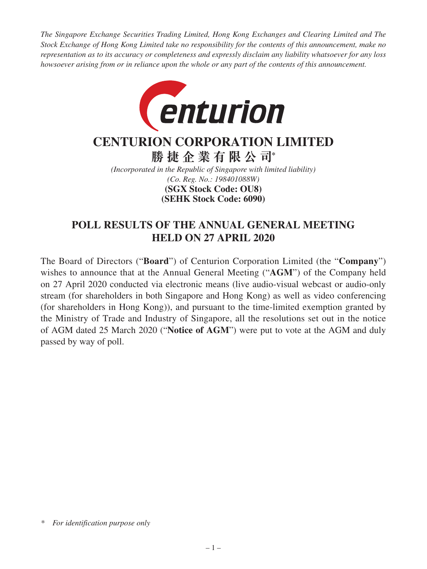*The Singapore Exchange Securities Trading Limited, Hong Kong Exchanges and Clearing Limited and The Stock Exchange of Hong Kong Limited take no responsibility for the contents of this announcement, make no representation as to its accuracy or completeness and expressly disclaim any liability whatsoever for any loss howsoever arising from or in reliance upon the whole or any part of the contents of this announcement.*



# **CENTURION CORPORATION LIMITED**

**勝捷企業有限公司\***

*(Incorporated in the Republic of Singapore with limited liability) (Co. Reg. No.: 198401088W)* **(SEHK Stock Code: 6090) (SGX Stock Code: OU8)**

### **POLL RESULTS OF THE ANNUAL GENERAL MEETING HELD ON 27 APRIL 2020**

The Board of Directors ("**Board**") of Centurion Corporation Limited (the "**Company**") wishes to announce that at the Annual General Meeting ("**AGM**") of the Company held on 27 April 2020 conducted via electronic means (live audio-visual webcast or audio-only stream (for shareholders in both Singapore and Hong Kong) as well as video conferencing (for shareholders in Hong Kong)), and pursuant to the time-limited exemption granted by the Ministry of Trade and Industry of Singapore, all the resolutions set out in the notice of AGM dated 25 March 2020 ("**Notice of AGM**") were put to vote at the AGM and duly passed by way of poll.

*<sup>\*</sup> For identification purpose only*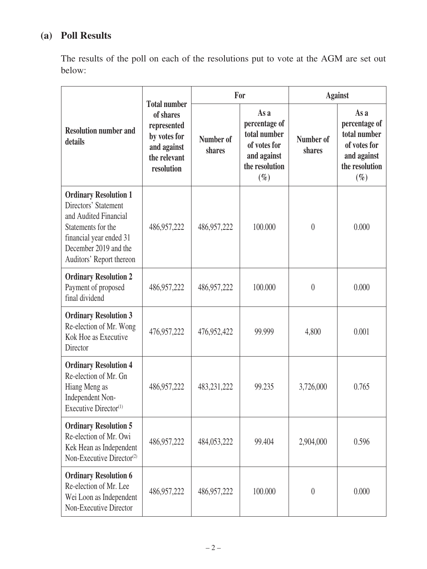## **(a) Poll Results**

The results of the poll on each of the resolutions put to vote at the AGM are set out below:

|                                                                                                                                                                                     | <b>Total number</b>                                                                   | For                 |                                                                                                  | <b>Against</b>      |                                                                                                  |
|-------------------------------------------------------------------------------------------------------------------------------------------------------------------------------------|---------------------------------------------------------------------------------------|---------------------|--------------------------------------------------------------------------------------------------|---------------------|--------------------------------------------------------------------------------------------------|
| <b>Resolution number and</b><br>details                                                                                                                                             | of shares<br>represented<br>by votes for<br>and against<br>the relevant<br>resolution | Number of<br>shares | As a<br>percentage of<br>total number<br>of votes for<br>and against<br>the resolution<br>$(\%)$ | Number of<br>shares | As a<br>percentage of<br>total number<br>of votes for<br>and against<br>the resolution<br>$(\%)$ |
| <b>Ordinary Resolution 1</b><br>Directors' Statement<br>and Audited Financial<br>Statements for the<br>financial year ended 31<br>December 2019 and the<br>Auditors' Report thereon | 486,957,222                                                                           | 486,957,222         | 100.000                                                                                          | $\theta$            | 0.000                                                                                            |
| <b>Ordinary Resolution 2</b><br>Payment of proposed<br>final dividend                                                                                                               | 486,957,222                                                                           | 486,957,222         | 100.000                                                                                          | $\theta$            | 0.000                                                                                            |
| <b>Ordinary Resolution 3</b><br>Re-election of Mr. Wong<br>Kok Hoe as Executive<br>Director                                                                                         | 476,957,222                                                                           | 476,952,422         | 99.999                                                                                           | 4,800               | 0.001                                                                                            |
| <b>Ordinary Resolution 4</b><br>Re-election of Mr. Gn<br>Hiang Meng as<br>Independent Non-<br>Executive Director <sup>(1)</sup>                                                     | 486,957,222                                                                           | 483,231,222         | 99.235                                                                                           | 3,726,000           | 0.765                                                                                            |
| <b>Ordinary Resolution 5</b><br>Re-election of Mr. Owi<br>Kek Hean as Independent<br>Non-Executive Director <sup>(2)</sup>                                                          | 486,957,222                                                                           | 484,053,222         | 99.404                                                                                           | 2,904,000           | 0.596                                                                                            |
| <b>Ordinary Resolution 6</b><br>Re-election of Mr. Lee<br>Wei Loon as Independent<br>Non-Executive Director                                                                         | 486,957,222                                                                           | 486,957,222         | 100.000                                                                                          | $\theta$            | 0.000                                                                                            |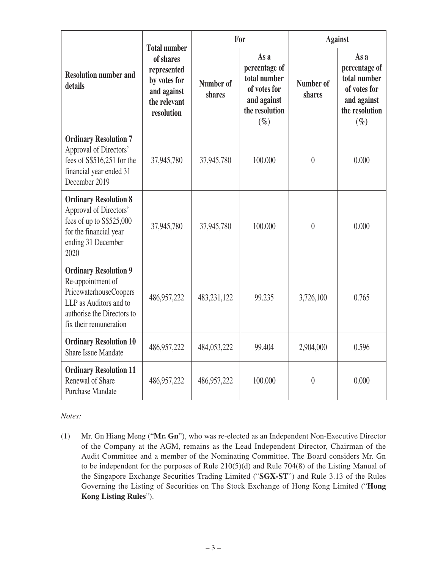|                                                                                                                                                               | <b>Total number</b><br>of shares<br>represented<br>by votes for<br>and against<br>the relevant<br>resolution | For                 |                                                                                                  | <b>Against</b>      |                                                                                                  |
|---------------------------------------------------------------------------------------------------------------------------------------------------------------|--------------------------------------------------------------------------------------------------------------|---------------------|--------------------------------------------------------------------------------------------------|---------------------|--------------------------------------------------------------------------------------------------|
| <b>Resolution number and</b><br>details                                                                                                                       |                                                                                                              | Number of<br>shares | As a<br>percentage of<br>total number<br>of votes for<br>and against<br>the resolution<br>$(\%)$ | Number of<br>shares | As a<br>percentage of<br>total number<br>of votes for<br>and against<br>the resolution<br>$(\%)$ |
| <b>Ordinary Resolution 7</b><br>Approval of Directors'<br>fees of S\$516,251 for the<br>financial year ended 31<br>December 2019                              | 37,945,780                                                                                                   | 37,945,780          | 100.000                                                                                          | $\overline{0}$      | 0.000                                                                                            |
| <b>Ordinary Resolution 8</b><br>Approval of Directors'<br>fees of up to S\$525,000<br>for the financial year<br>ending 31 December<br>2020                    | 37,945,780                                                                                                   | 37,945,780          | 100.000                                                                                          | $\overline{0}$      | 0.000                                                                                            |
| <b>Ordinary Resolution 9</b><br>Re-appointment of<br>PricewaterhouseCoopers<br>LLP as Auditors and to<br>authorise the Directors to<br>fix their remuneration | 486,957,222                                                                                                  | 483,231,122         | 99.235                                                                                           | 3,726,100           | 0.765                                                                                            |
| <b>Ordinary Resolution 10</b><br><b>Share Issue Mandate</b>                                                                                                   | 486,957,222                                                                                                  | 484,053,222         | 99.404                                                                                           | 2,904,000           | 0.596                                                                                            |
| <b>Ordinary Resolution 11</b><br>Renewal of Share<br><b>Purchase Mandate</b>                                                                                  | 486,957,222                                                                                                  | 486,957,222         | 100.000                                                                                          | $\theta$            | 0.000                                                                                            |

#### *Notes:*

(1) Mr. Gn Hiang Meng ("**Mr. Gn**"), who was re-elected as an Independent Non-Executive Director of the Company at the AGM, remains as the Lead Independent Director, Chairman of the Audit Committee and a member of the Nominating Committee. The Board considers Mr. Gn to be independent for the purposes of Rule 210(5)(d) and Rule 704(8) of the Listing Manual of the Singapore Exchange Securities Trading Limited ("**SGX-ST**") and Rule 3.13 of the Rules Governing the Listing of Securities on The Stock Exchange of Hong Kong Limited ("**Hong Kong Listing Rules**").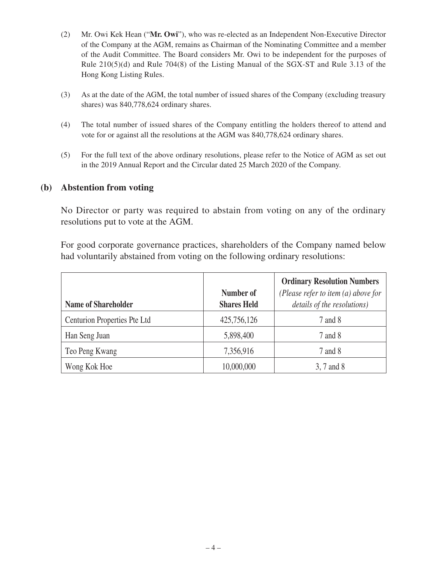- (2) Mr. Owi Kek Hean ("**Mr. Owi**"), who was re-elected as an Independent Non-Executive Director of the Company at the AGM, remains as Chairman of the Nominating Committee and a member of the Audit Committee. The Board considers Mr. Owi to be independent for the purposes of Rule 210(5)(d) and Rule 704(8) of the Listing Manual of the SGX-ST and Rule 3.13 of the Hong Kong Listing Rules.
- (3) As at the date of the AGM, the total number of issued shares of the Company (excluding treasury shares) was 840,778,624 ordinary shares.
- (4) The total number of issued shares of the Company entitling the holders thereof to attend and vote for or against all the resolutions at the AGM was 840,778,624 ordinary shares.
- (5) For the full text of the above ordinary resolutions, please refer to the Notice of AGM as set out in the 2019 Annual Report and the Circular dated 25 March 2020 of the Company.

#### **(b) Abstention from voting**

No Director or party was required to abstain from voting on any of the ordinary resolutions put to vote at the AGM.

For good corporate governance practices, shareholders of the Company named below had voluntarily abstained from voting on the following ordinary resolutions:

| <b>Name of Shareholder</b>   | Number of<br><b>Shares Held</b> | <b>Ordinary Resolution Numbers</b><br>(Please refer to item $(a)$ above for<br>details of the resolutions) |
|------------------------------|---------------------------------|------------------------------------------------------------------------------------------------------------|
| Centurion Properties Pte Ltd | 425,756,126                     | 7 and 8                                                                                                    |
| Han Seng Juan                | 5,898,400                       | 7 and 8                                                                                                    |
| Teo Peng Kwang               | 7,356,916                       | 7 and 8                                                                                                    |
| Wong Kok Hoe                 | 10,000,000                      | 3, 7 and 8                                                                                                 |